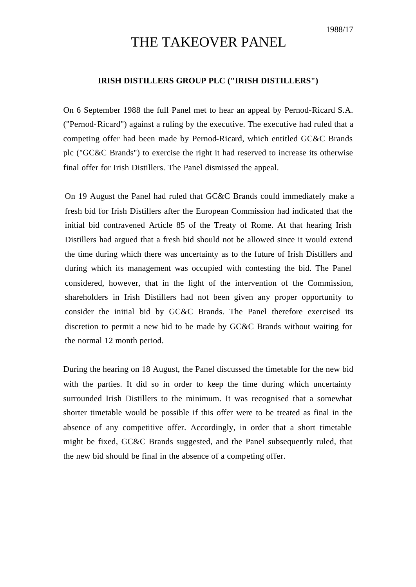## THE TAKEOVER PANEL

## **IRISH DISTILLERS GROUP PLC ("IRISH DISTILLERS")**

On 6 September 1988 the full Panel met to hear an appeal by Pernod-Ricard S.A. ("Pernod-Ricard") against a ruling by the executive. The executive had ruled that a competing offer had been made by Pernod-Ricard, which entitled GC&C Brands plc ("GC&C Brands") to exercise the right it had reserved to increase its otherwise final offer for Irish Distillers. The Panel dismissed the appeal.

On 19 August the Panel had ruled that GC&C Brands could immediately make a fresh bid for Irish Distillers after the European Commission had indicated that the initial bid contravened Article 85 of the Treaty of Rome. At that hearing Irish Distillers had argued that a fresh bid should not be allowed since it would extend the time during which there was uncertainty as to the future of Irish Distillers and during which its management was occupied with contesting the bid. The Panel considered, however, that in the light of the intervention of the Commission, shareholders in Irish Distillers had not been given any proper opportunity to consider the initial bid by GC&C Brands. The Panel therefore exercised its discretion to permit a new bid to be made by GC&C Brands without waiting for the normal 12 month period.

During the hearing on 18 August, the Panel discussed the timetable for the new bid with the parties. It did so in order to keep the time during which uncertainty surrounded Irish Distillers to the minimum. It was recognised that a somewhat shorter timetable would be possible if this offer were to be treated as final in the absence of any competitive offer. Accordingly, in order that a short timetable might be fixed, GC&C Brands suggested, and the Panel subsequently ruled, that the new bid should be final in the absence of a competing offer.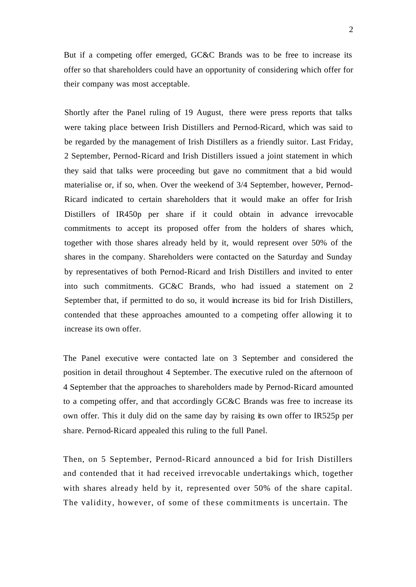But if a competing offer emerged, GC&C Brands was to be free to increase its offer so that shareholders could have an opportunity of considering which offer for their company was most acceptable.

Shortly after the Panel ruling of 19 August, there were press reports that talks were taking place between Irish Distillers and Pernod-Ricard, which was said to be regarded by the management of Irish Distillers as a friendly suitor. Last Friday, 2 September, Pernod-Ricard and Irish Distillers issued a joint statement in which they said that talks were proceeding but gave no commitment that a bid would materialise or, if so, when. Over the weekend of 3/4 September, however, Pernod-Ricard indicated to certain shareholders that it would make an offer for Irish Distillers of IR450p per share if it could obtain in advance irrevocable commitments to accept its proposed offer from the holders of shares which, together with those shares already held by it, would represent over 50% of the shares in the company. Shareholders were contacted on the Saturday and Sunday by representatives of both Pernod-Ricard and Irish Distillers and invited to enter into such commitments. GC&C Brands, who had issued a statement on 2 September that, if permitted to do so, it would increase its bid for Irish Distillers, contended that these approaches amounted to a competing offer allowing it to increase its own offer.

The Panel executive were contacted late on 3 September and considered the position in detail throughout 4 September. The executive ruled on the afternoon of 4 September that the approaches to shareholders made by Pernod-Ricard amounted to a competing offer, and that accordingly GC&C Brands was free to increase its own offer. This it duly did on the same day by raising its own offer to IR525p per share. Pernod-Ricard appealed this ruling to the full Panel.

Then, on 5 September, Pernod-Ricard announced a bid for Irish Distillers and contended that it had received irrevocable undertakings which, together with shares already held by it, represented over 50% of the share capital. The validity, however, of some of these commitments is uncertain. The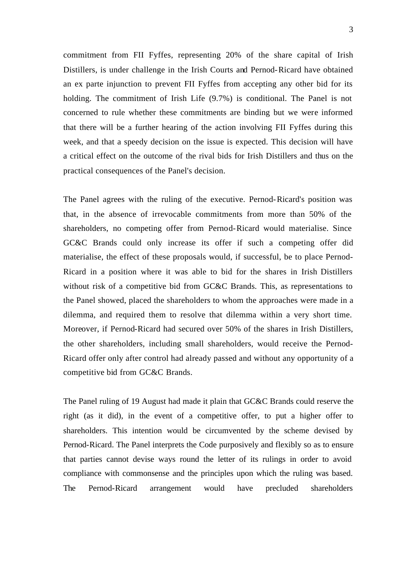commitment from FII Fyffes, representing 20% of the share capital of Irish Distillers, is under challenge in the Irish Courts and Pernod-Ricard have obtained an ex parte injunction to prevent FII Fyffes from accepting any other bid for its holding. The commitment of Irish Life (9.7%) is conditional. The Panel is not concerned to rule whether these commitments are binding but we were informed that there will be a further hearing of the action involving FII Fyffes during this week, and that a speedy decision on the issue is expected. This decision will have a critical effect on the outcome of the rival bids for Irish Distillers and thus on the practical consequences of the Panel's decision.

The Panel agrees with the ruling of the executive. Pernod-Ricard's position was that, in the absence of irrevocable commitments from more than 50% of the shareholders, no competing offer from Pernod-Ricard would materialise. Since GC&C Brands could only increase its offer if such a competing offer did materialise, the effect of these proposals would, if successful, be to place Pernod-Ricard in a position where it was able to bid for the shares in Irish Distillers without risk of a competitive bid from GC&C Brands. This, as representations to the Panel showed, placed the shareholders to whom the approaches were made in a dilemma, and required them to resolve that dilemma within a very short time. Moreover, if Pernod-Ricard had secured over 50% of the shares in Irish Distillers, the other shareholders, including small shareholders, would receive the Pernod-Ricard offer only after control had already passed and without any opportunity of a competitive bid from GC&C Brands.

The Panel ruling of 19 August had made it plain that GC&C Brands could reserve the right (as it did), in the event of a competitive offer, to put a higher offer to shareholders. This intention would be circumvented by the scheme devised by Pernod-Ricard. The Panel interprets the Code purposively and flexibly so as to ensure that parties cannot devise ways round the letter of its rulings in order to avoid compliance with commonsense and the principles upon which the ruling was based. The Pernod-Ricard arrangement would have precluded shareholders